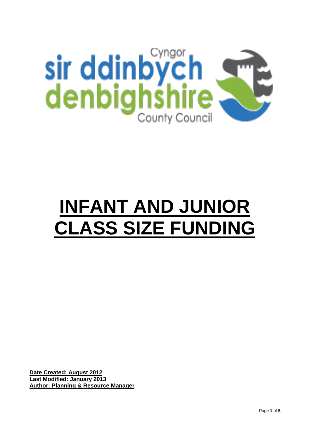

# **INFANT AND JUNIOR CLASS SIZE FUNDING**

**Date Created: August 2012 Last Modified: January 2013 Author: Planning & Resource Manager**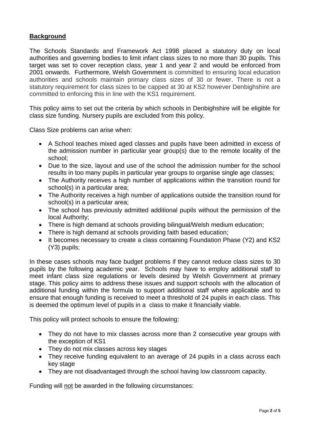## **Background**

The Schools Standards and Framework Act 1998 placed a statutory duty on local authorities and governing bodies to limit infant class sizes to no more than 30 pupils. This target was set to cover reception class, year 1 and year 2 and would be enforced from 2001 onwards. Furthermore, Welsh Government is committed to ensuring local education authorities and schools maintain primary class sizes of 30 or fewer. There is not a statutory requirement for class sizes to be capped at 30 at KS2 however Denbighshire are committed to enforcing this in line with the KS1 requirement.

This policy aims to set out the criteria by which schools in Denbighshire will be eligible for class size funding. Nursery pupils are excluded from this policy.

Class Size problems can arise when:

- A School teaches mixed aged classes and pupils have been admitted in excess of the admission number in particular year group(s) due to the remote locality of the school;
- Due to the size, layout and use of the school the admission number for the school results in too many pupils in particular year groups to organise single age classes;
- The Authority receives a high number of applications within the transition round for school(s) in a particular area;
- The Authority receives a high number of applications outside the transition round for school(s) in a particular area;
- The school has previously admitted additional pupils without the permission of the local Authority;
- There is high demand at schools providing bilingual/Welsh medium education;
- There is high demand at schools providing faith based education;
- It becomes necessary to create a class containing Foundation Phase (Y2) and KS2 (Y3) pupils;

In these cases schools may face budget problems if they cannot reduce class sizes to 30 pupils by the following academic year. Schools may have to employ additional staff to meet infant class size regulations or levels desired by Welsh Government at primary stage. This policy aims to address these issues and support schools with the allocation of additional funding within the formula to support additional staff where applicable and to ensure that enough funding is received to meet a threshold of 24 pupils in each class. This is deemed the optimum level of pupils in a class to make it financially viable.

This policy will protect schools to ensure the following:

- They do not have to mix classes across more than 2 consecutive year groups with the exception of KS1
- They do not mix classes across key stages
- They receive funding equivalent to an average of 24 pupils in a class across each key stage
- They are not disadvantaged through the school having low classroom capacity.

Funding will not be awarded in the following circumstances: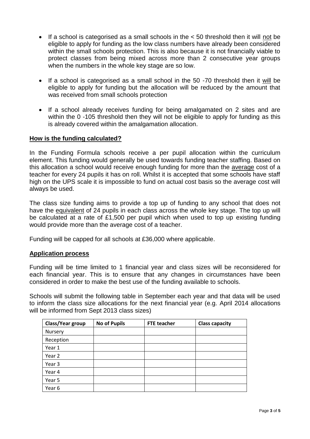- If a school is categorised as a small schools in the  $<$  50 threshold then it will not be eligible to apply for funding as the low class numbers have already been considered within the small schools protection. This is also because it is not financially viable to protect classes from being mixed across more than 2 consecutive year groups when the numbers in the whole key stage are so low.
- If a school is categorised as a small school in the 50 -70 threshold then it will be eligible to apply for funding but the allocation will be reduced by the amount that was received from small schools protection
- If a school already receives funding for being amalgamated on 2 sites and are within the 0 -105 threshold then they will not be eligible to apply for funding as this is already covered within the amalgamation allocation.

#### **How is the funding calculated?**

In the Funding Formula schools receive a per pupil allocation within the curriculum element. This funding would generally be used towards funding teacher staffing. Based on this allocation a school would receive enough funding for more than the average cost of a teacher for every 24 pupils it has on roll. Whilst it is accepted that some schools have staff high on the UPS scale it is impossible to fund on actual cost basis so the average cost will always be used.

The class size funding aims to provide a top up of funding to any school that does not have the equivalent of 24 pupils in each class across the whole key stage. The top up will be calculated at a rate of £1,500 per pupil which when used to top up existing funding would provide more than the average cost of a teacher.

Funding will be capped for all schools at £36,000 where applicable.

#### **Application process**

Funding will be time limited to 1 financial year and class sizes will be reconsidered for each financial year. This is to ensure that any changes in circumstances have been considered in order to make the best use of the funding available to schools.

Schools will submit the following table in September each year and that data will be used to inform the class size allocations for the next financial year (e.g. April 2014 allocations will be informed from Sept 2013 class sizes)

| Class/Year group | <b>No of Pupils</b> | <b>FTE teacher</b> | <b>Class capacity</b> |
|------------------|---------------------|--------------------|-----------------------|
| Nursery          |                     |                    |                       |
| Reception        |                     |                    |                       |
| Year 1           |                     |                    |                       |
| Year 2           |                     |                    |                       |
| Year 3           |                     |                    |                       |
| Year 4           |                     |                    |                       |
| Year 5           |                     |                    |                       |
| Year 6           |                     |                    |                       |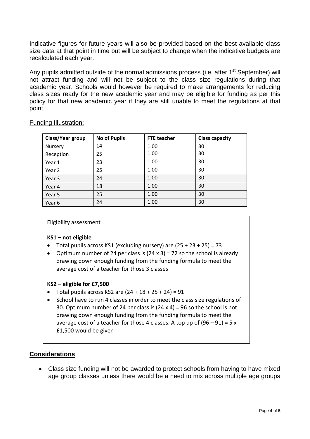Indicative figures for future years will also be provided based on the best available class size data at that point in time but will be subject to change when the indicative budgets are recalculated each year.

Any pupils admitted outside of the normal admissions process (i.e. after 1<sup>st</sup> September) will not attract funding and will not be subject to the class size regulations during that academic year. Schools would however be required to make arrangements for reducing class sizes ready for the new academic year and may be eligible for funding as per this policy for that new academic year if they are still unable to meet the regulations at that point.

| Class/Year group | <b>No of Pupils</b> | <b>FTE teacher</b> | <b>Class capacity</b> |
|------------------|---------------------|--------------------|-----------------------|
| Nursery          | 14                  | 1.00               | 30                    |
| Reception        | 25                  | 1.00               | 30                    |
| Year 1           | 23                  | 1.00               | 30                    |
| Year 2           | 25                  | 1.00               | 30                    |
| Year 3           | 24                  | 1.00               | 30                    |
| Year 4           | 18                  | 1.00               | 30                    |
| Year 5           | 25                  | 1.00               | 30                    |
| Year 6           | 24                  | 1.00               | 30                    |

## Funding Illustration:

#### Eligibility assessment

# **KS1 – not eligible**

- Total pupils across KS1 (excluding nursery) are  $(25 + 23 + 25) = 73$
- Optimum number of 24 per class is  $(24 \times 3) = 72$  so the school is already drawing down enough funding from the funding formula to meet the average cost of a teacher for those 3 classes

#### **KS2 – eligible for £7,500**

- Total pupils across KS2 are  $(24 + 18 + 25 + 24) = 91$
- School have to run 4 classes in order to meet the class size regulations of 30. Optimum number of 24 per class is (24 x 4) = 96 so the school is not drawing down enough funding from the funding formula to meet the average cost of a teacher for those 4 classes. A top up of  $(96 - 91) = 5x$ £1,500 would be given

# **Considerations**

 Class size funding will not be awarded to protect schools from having to have mixed age group classes unless there would be a need to mix across multiple age groups